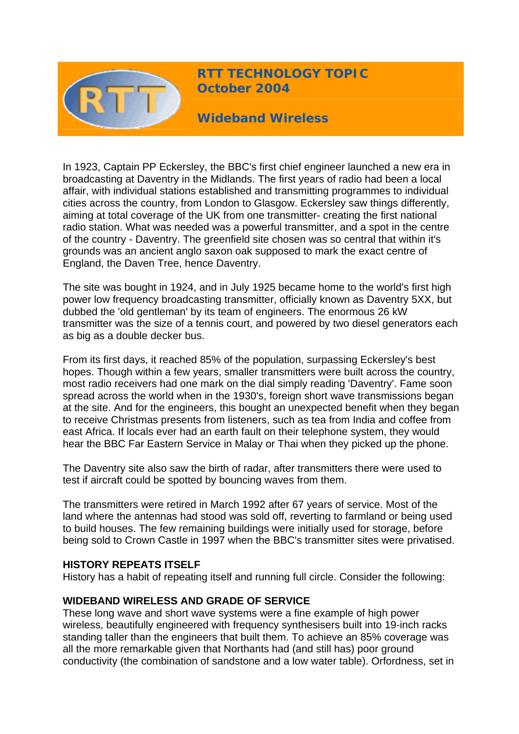

# **RTT TECHNOLOGY TOPIC October 2004**

**Wideband Wireless** 

In 1923, Captain PP Eckersley, the BBC's first chief engineer launched a new era in broadcasting at Daventry in the Midlands. The first years of radio had been a local affair, with individual stations established and transmitting programmes to individual cities across the country, from London to Glasgow. Eckersley saw things differently, aiming at total coverage of the UK from one transmitter- creating the first national radio station. What was needed was a powerful transmitter, and a spot in the centre of the country - Daventry. The greenfield site chosen was so central that within it's grounds was an ancient anglo saxon oak supposed to mark the exact centre of England, the Daven Tree, hence Daventry.

The site was bought in 1924, and in July 1925 became home to the world's first high power low frequency broadcasting transmitter, officially known as Daventry 5XX, but dubbed the 'old gentleman' by its team of engineers. The enormous 26 kW transmitter was the size of a tennis court, and powered by two diesel generators each as big as a double decker bus.

From its first days, it reached 85% of the population, surpassing Eckersley's best hopes. Though within a few years, smaller transmitters were built across the country, most radio receivers had one mark on the dial simply reading 'Daventry'. Fame soon spread across the world when in the 1930's, foreign short wave transmissions began at the site. And for the engineers, this bought an unexpected benefit when they began to receive Christmas presents from listeners, such as tea from India and coffee from east Africa. If locals ever had an earth fault on their telephone system, they would hear the BBC Far Eastern Service in Malay or Thai when they picked up the phone.

The Daventry site also saw the birth of radar, after transmitters there were used to test if aircraft could be spotted by bouncing waves from them.

The transmitters were retired in March 1992 after 67 years of service. Most of the land where the antennas had stood was sold off, reverting to farmland or being used to build houses. The few remaining buildings were initially used for storage, before being sold to Crown Castle in 1997 when the BBC's transmitter sites were privatised.

#### **HISTORY REPEATS ITSELF**

History has a habit of repeating itself and running full circle. Consider the following:

#### **WIDEBAND WIRELESS AND GRADE OF SERVICE**

These long wave and short wave systems were a fine example of high power wireless, beautifully engineered with frequency synthesisers built into 19-inch racks standing taller than the engineers that built them. To achieve an 85% coverage was all the more remarkable given that Northants had (and still has) poor ground conductivity (the combination of sandstone and a low water table). Orfordness, set in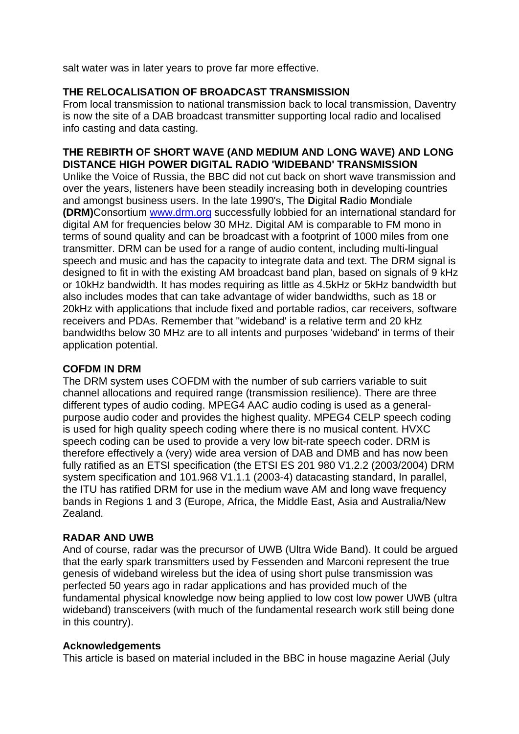salt water was in later years to prove far more effective.

## **THE RELOCALISATION OF BROADCAST TRANSMISSION**

From local transmission to national transmission back to local transmission, Daventry is now the site of a DAB broadcast transmitter supporting local radio and localised info casting and data casting.

### **THE REBIRTH OF SHORT WAVE (AND MEDIUM AND LONG WAVE) AND LONG DISTANCE HIGH POWER DIGITAL RADIO 'WIDEBAND' TRANSMISSION**

Unlike the Voice of Russia, the BBC did not cut back on short wave transmission and over the years, listeners have been steadily increasing both in developing countries and amongst business users. In the late 1990's, The **D**igital **R**adio **M**ondiale **(DRM)**Consortium [www.drm.org](http://www.drm.org/) successfully lobbied for an international standard for digital AM for frequencies below 30 MHz. Digital AM is comparable to FM mono in terms of sound quality and can be broadcast with a footprint of 1000 miles from one transmitter. DRM can be used for a range of audio content, including multi-lingual speech and music and has the capacity to integrate data and text. The DRM signal is designed to fit in with the existing AM broadcast band plan, based on signals of 9 kHz or 10kHz bandwidth. It has modes requiring as little as 4.5kHz or 5kHz bandwidth but also includes modes that can take advantage of wider bandwidths, such as 18 or 20kHz with applications that include fixed and portable radios, car receivers, software receivers and PDAs. Remember that ''wideband' is a relative term and 20 kHz bandwidths below 30 MHz are to all intents and purposes 'wideband' in terms of their application potential.

### **COFDM IN DRM**

The DRM system uses COFDM with the number of sub carriers variable to suit channel allocations and required range (transmission resilience). There are three different types of audio coding. MPEG4 AAC audio coding is used as a generalpurpose audio coder and provides the highest quality. MPEG4 CELP speech coding is used for high quality speech coding where there is no musical content. HVXC speech coding can be used to provide a very low bit-rate speech coder. DRM is therefore effectively a (very) wide area version of DAB and DMB and has now been fully ratified as an ETSI specification (the ETSI ES 201 980 V1.2.2 (2003/2004) DRM system specification and 101.968 V1.1.1 (2003-4) datacasting standard, In parallel, the ITU has ratified DRM for use in the medium wave AM and long wave frequency bands in Regions 1 and 3 (Europe, Africa, the Middle East, Asia and Australia/New Zealand.

#### **RADAR AND UWB**

And of course, radar was the precursor of UWB (Ultra Wide Band). It could be argued that the early spark transmitters used by Fessenden and Marconi represent the true genesis of wideband wireless but the idea of using short pulse transmission was perfected 50 years ago in radar applications and has provided much of the fundamental physical knowledge now being applied to low cost low power UWB (ultra wideband) transceivers (with much of the fundamental research work still being done in this country).

#### **Acknowledgements**

This article is based on material included in the BBC in house magazine Aerial (July